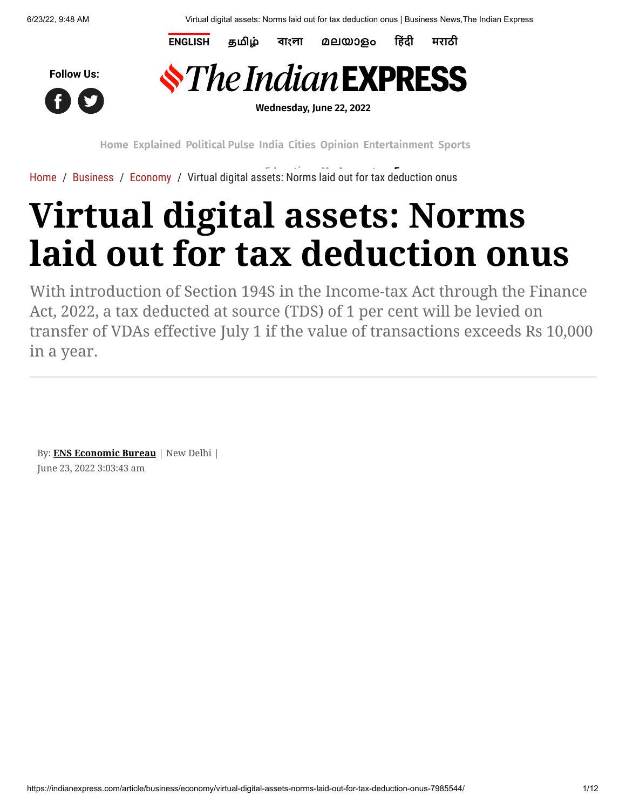**[ENGLISH](https://indianexpress.com/) [தமிழ்](https://tamil.indianexpress.com/) [বাংলা](https://bengali.indianexpress.com/) [മലയാളം](https://malayalam.indianexpress.com/) [हिंदी](https://www.jansatta.com/) [मराठी](https://www.loksatta.com/)**





**Wednesday, June 22, 2022**

**[Home](https://indianexpress.com/) [Explained](https://indianexpress.com/section/explained/) [Political](https://indianexpress.com/section/political-pulse/) Pulse [India](https://indianexpress.com/section/india/) [Cities](https://indianexpress.com/section/cities/) [Opinion](https://indianexpress.com/section/opinion/) [Entertainment](https://indianexpress.com/section/entertainment/) [Sports](https://indianexpress.com/section/sports/)**

[Home](https://indianexpress.com/) / [Business](https://indianexpress.com/section/business/) / [Economy](https://indianexpress.com/section/business/economy/) / [Virtual digital ass](https://pubads.g.doubleclick.net/gampad/clk?id=6027058703&iu=/1050432/Clk_Trk_1x1_IE)ets: Norms [laid out for ta](https://indianexpress.com/my-account/)[x deduction o](https://indianexpress.com/express-plus/today-newsstand/)nus

## **Virtual digital assets: Norms laid out for tax deduction onus**

With introduction of Section 194S in the Income-tax Act through the Finance Act, 2022, a tax deducted at source (TDS) of 1 per cent will be levied on transfer of VDAs effective July 1 if the value of transactions exceeds Rs 10,000 in a year.

By: **[ENS Economic Bureau](https://indianexpress.com/agency/ens-economic-bureau/)** | New Delhi | June 23, 2022 3:03:43 am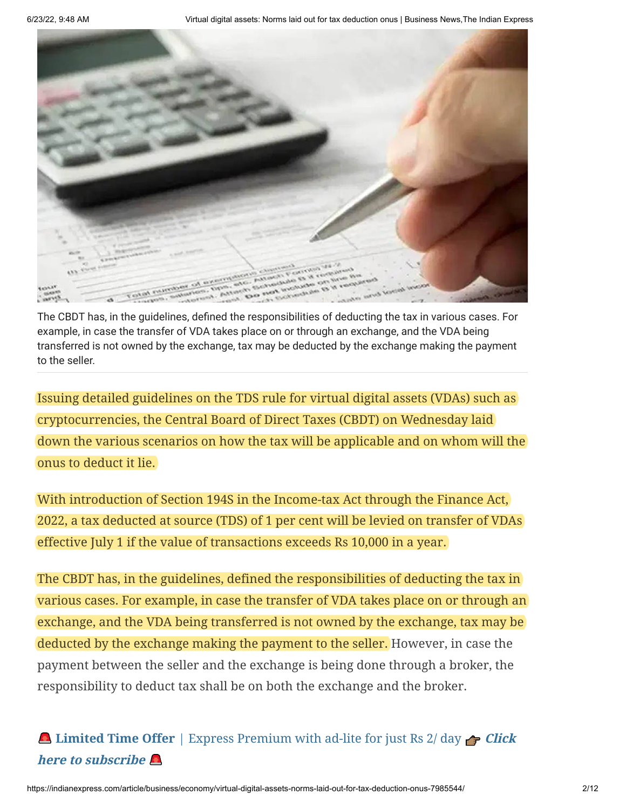

The CBDT has, in the guidelines, defined the responsibilities of deducting the tax in various cases. For example, in case the transfer of VDA takes place on or through an exchange, and the VDA being transferred is not owned by the exchange, tax may be deducted by the exchange making the payment to the seller.

Issuing detailed guidelines on the TDS rule for virtual digital assets (VDAs) such as cryptocurrencies, the Central Board of Direct Taxes (CBDT) on Wednesday laid down the various scenarios on how the tax will be applicable and on whom will the onus to deduct it lie.

With introduction of Section 194S in the Income-tax Act through the Finance Act, 2022, a tax deducted at source (TDS) of 1 per cent will be levied on transfer of VDAs effective July 1 if the value of transactions exceeds Rs 10,000 in a year.

The CBDT has, in the guidelines, defined the responsibilities of deducting the tax in various cases. For example, in case the transfer of VDA takes place on or through an exchange, and the VDA being transferred is not owned by the exchange, tax may be deducted by the exchange making the payment to the seller. However, in case the payment between the seller and the exchange is being done through a broker, the responsibility to deduct tax shall be on both the exchange and the broker.

## **Limited Time Offer** [| Express Premium with ad-lite for just Rs 2/ day](https://indianexpress.com/subscribe/premium/?ref=story) **A** Click **here to subscribe**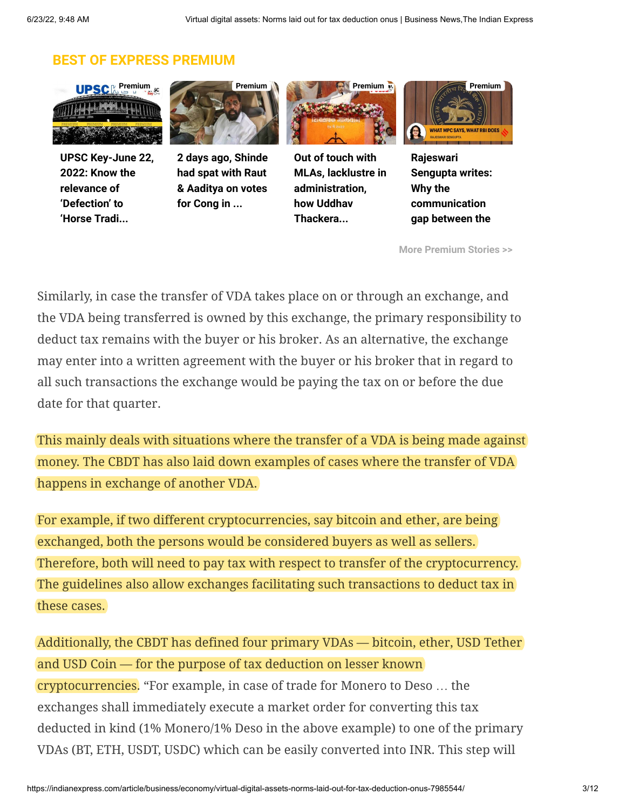## **BEST OF EXPRESS PREMIUM**



**[UPSC Key-June 22,](https://indianexpress.com/article/upsc-current-affairs/upsc-key-june-22-2022-know-the-relevance-of-defection-to-horse-trading-to-twin-deficit-for-upsc-cse-7985140/) 2022: Know the relevance of 'Defection' to 'Horse Tradi...**



**[2 days ago, Shinde](https://indianexpress.com/article/cities/mumbai/two-days-ago-shinde-had-spat-with-raut-aaditya-votes-cong-mlc-polls-7983148/) had spat with Raut & Aaditya on votes for Cong in ...**



**Out of touch with [MLAs, lacklustre in](https://indianexpress.com/article/political-pulse/maharashtra-govt-mva-uddhav-thackeray-mlas-discontent-political-crisis-7983020/) administration, how Uddhav Thackera...**



**Rajeswari [Sengupta writes:](https://indianexpress.com/article/opinion/columns/mpc-monetary-policy-committee-rbi-7983009/) Why the communication gap between the**

**[More Premium Stories >>](https://indianexpress.com/about/express-premium/)**

Similarly, in case the transfer of VDA takes place on or through an exchange, and the VDA being transferred is owned by this exchange, the primary responsibility to deduct tax remains with the buyer or his broker. As an alternative, the exchange may enter into a written agreement with the buyer or his broker that in regard to all such transactions the exchange would be paying the tax on or before the due date for that quarter.

This mainly deals with situations where the transfer of a VDA is being made against money. The CBDT has also laid down examples of cases where the transfer of VDA happens in exchange of another VDA.

For example, if two different cryptocurrencies, say bitcoin and ether, are being exchanged, both the persons would be considered buyers as well as sellers. Therefore, both will need to pay tax with respect to transfer of the cryptocurrency. The guidelines also allow exchanges facilitating such transactions to deduct tax in these cases.

Additionally, the CBDT has defined four primary VDAs — bitcoin, ether, USD Tether and USD Coin — for the purpose of tax deduction on lesser known cryptocurrencies. "For example, in case of trade for Monero to Deso … the exchanges shall immediately execute a market order for converting this tax deducted in kind (1% Monero/1% Deso in the above example) to one of the primary VDAs (BT, ETH, USDT, USDC) which can be easily converted into INR. This step will